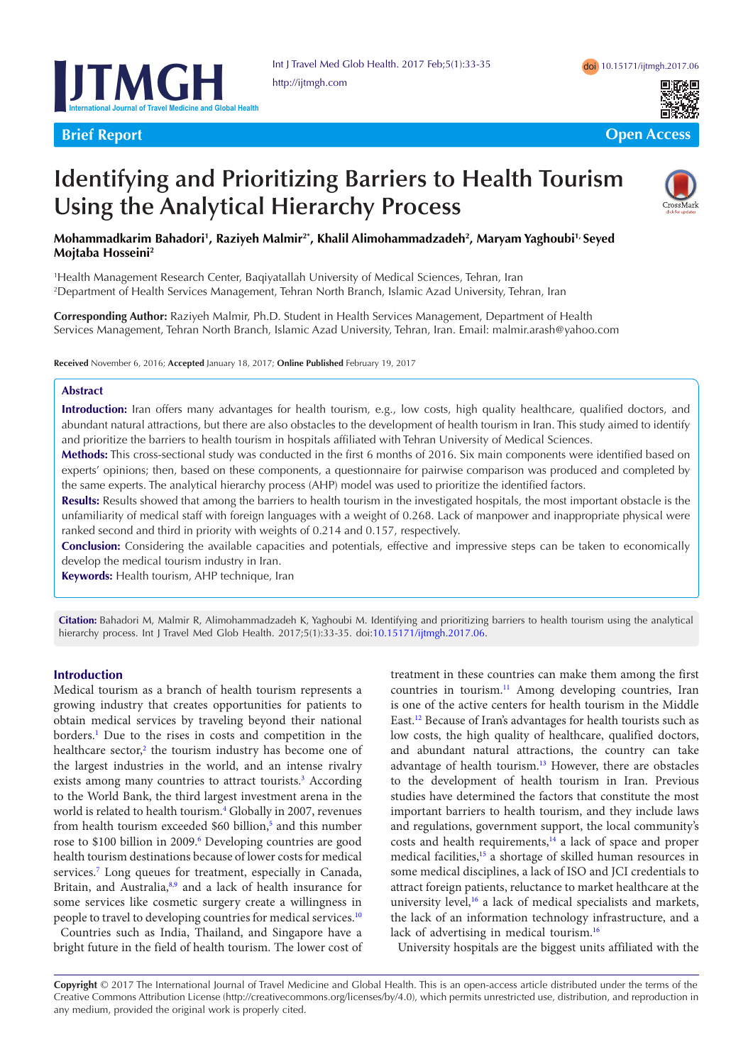



**Brief Report Contract Contract Contract Contract Contract Contract Contract Contract Contract Contract Contract Contract Contract Contract Contract Contract Contract Contract Contract Contract Contract Contract Contract C** 

# **Identifying and Prioritizing Barriers to Health Tourism Using the Analytical Hierarchy Process**



# **Mohammadkarim Bahadori1 , Raziyeh Malmir2\*, Khalil Alimohammadzadeh2 , Maryam Yaghoubi1, Seyed Mojtaba Hosseini2**

1 Health Management Research Center, Baqiyatallah University of Medical Sciences, Tehran, Iran 2 Department of Health Services Management, Tehran North Branch, Islamic Azad University, Tehran, Iran

**Corresponding Author:** Raziyeh Malmir, Ph.D. Student in Health Services Management, Department of Health Services Management, Tehran North Branch, Islamic Azad University, Tehran, Iran. Email: malmir.arash@yahoo.com

**Received** November 6, 2016; **Accepted** January 18, 2017; **Online Published** February 19, 2017

#### **Abstract**

**Introduction:** Iran offers many advantages for health tourism, e.g., low costs, high quality healthcare, qualified doctors, and abundant natural attractions, but there are also obstacles to the development of health tourism in Iran. This study aimed to identify and prioritize the barriers to health tourism in hospitals affiliated with Tehran University of Medical Sciences.

**Methods:** This cross-sectional study was conducted in the first 6 months of 2016. Six main components were identified based on experts' opinions; then, based on these components, a questionnaire for pairwise comparison was produced and completed by the same experts. The analytical hierarchy process (AHP) model was used to prioritize the identified factors.

**Results:** Results showed that among the barriers to health tourism in the investigated hospitals, the most important obstacle is the unfamiliarity of medical staff with foreign languages with a weight of 0.268. Lack of manpower and inappropriate physical were ranked second and third in priority with weights of 0.214 and 0.157, respectively.

**Conclusion:** Considering the available capacities and potentials, effective and impressive steps can be taken to economically develop the medical tourism industry in Iran.

**Keywords:** Health tourism, AHP technique, Iran

**Citation:** Bahadori M, Malmir R, Alimohammadzadeh K, Yaghoubi M. Identifying and prioritizing barriers to health tourism using the analytical hierarchy process. Int J Travel Med Glob Health. 2017;5(1):33-35. doi:[10.15171/ijtmgh.2017.06](http://dx.doi.org/10.15171/ijtmgh.2017.06).

#### **Introduction**

Medical tourism as a branch of health tourism represents a growing industry that creates opportunities for patients to obtain medical services by traveling beyond their national borders[.1](#page-2-0) Due to the rises in costs and competition in the healthcare sector,<sup>[2](#page-2-1)</sup> the tourism industry has become one of the largest industries in the world, and an intense rivalry exists among many countries to attract tourists.<sup>3</sup> According to the World Bank, the third largest investment arena in the world is related to health tourism.<sup>4</sup> Globally in 2007, revenues from health tourism exceeded \$60 billion,<sup>[5](#page-2-4)</sup> and this number rose to \$100 billion in 2009.<sup>6</sup> Developing countries are good health tourism destinations because of lower costs for medical services.<sup>7</sup> Long queues for treatment, especially in Canada, Britain, and Australia,<sup>[8](#page-2-7),[9](#page-2-8)</sup> and a lack of health insurance for some services like cosmetic surgery create a willingness in people to travel to developing countries for medical services.<sup>[10](#page-2-9)</sup>

Countries such as India, Thailand, and Singapore have a bright future in the field of health tourism. The lower cost of treatment in these countries can make them among the first countries in tourism.[11](#page-2-10) Among developing countries, Iran is one of the active centers for health tourism in the Middle East.[12](#page-2-11) Because of Iran's advantages for health tourists such as low costs, the high quality of healthcare, qualified doctors, and abundant natural attractions, the country can take advantage of health tourism.[13](#page-2-12) However, there are obstacles to the development of health tourism in Iran. Previous studies have determined the factors that constitute the most important barriers to health tourism, and they include laws and regulations, government support, the local community's costs and health requirements,<sup>14</sup> a lack of space and proper medical facilities,<sup>15</sup> a shortage of skilled human resources in some medical disciplines, a lack of ISO and JCI credentials to attract foreign patients, reluctance to market healthcare at the university level,<sup>[16](#page-2-15)</sup> a lack of medical specialists and markets, the lack of an information technology infrastructure, and a lack of advertising in medical tourism.<sup>[16](#page-2-15)</sup>

University hospitals are the biggest units affiliated with the

**Copyright** © 2017 The International Journal of Travel Medicine and Global Health. This is an open-access article distributed under the terms of the Creative Commons Attribution License (http://creativecommons.org/licenses/by/4.0), which permits unrestricted use, distribution, and reproduction in any medium, provided the original work is properly cited.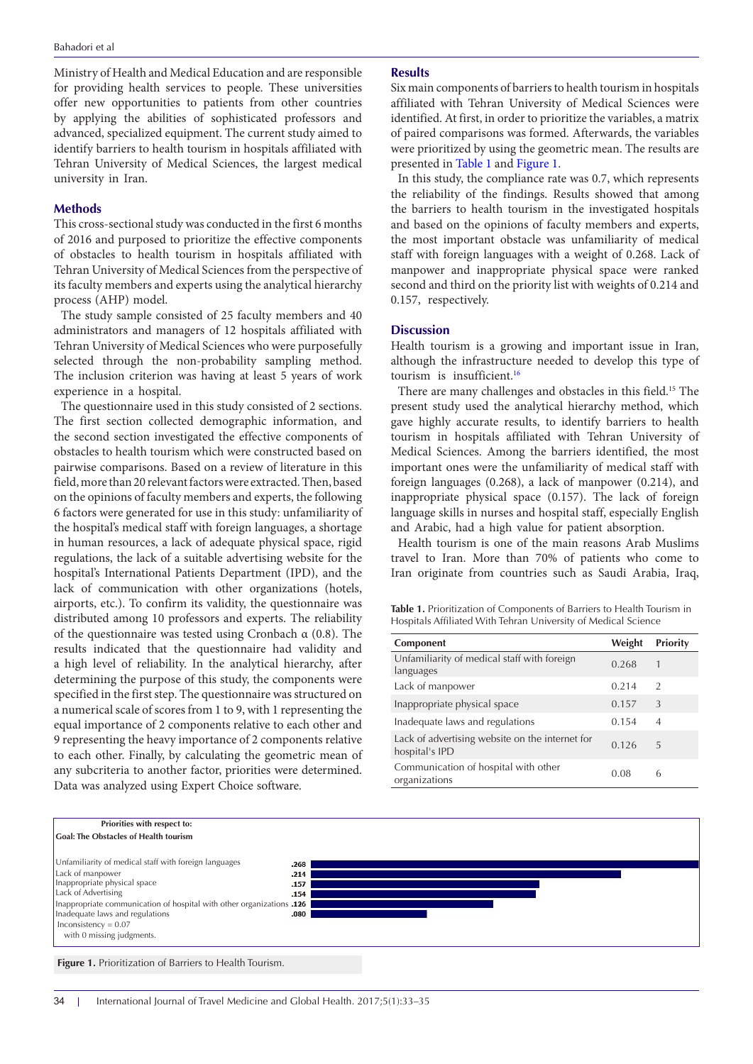Ministry of Health and Medical Education and are responsible for providing health services to people. These universities offer new opportunities to patients from other countries by applying the abilities of sophisticated professors and advanced, specialized equipment. The current study aimed to identify barriers to health tourism in hospitals affiliated with Tehran University of Medical Sciences, the largest medical university in Iran.

#### **Methods**

This cross-sectional study was conducted in the first 6 months of 2016 and purposed to prioritize the effective components of obstacles to health tourism in hospitals affiliated with Tehran University of Medical Sciences from the perspective of its faculty members and experts using the analytical hierarchy process (AHP) model.

The study sample consisted of 25 faculty members and 40 administrators and managers of 12 hospitals affiliated with Tehran University of Medical Sciences who were purposefully selected through the non-probability sampling method. The inclusion criterion was having at least 5 years of work experience in a hospital.

The questionnaire used in this study consisted of 2 sections. The first section collected demographic information, and the second section investigated the effective components of obstacles to health tourism which were constructed based on pairwise comparisons. Based on a review of literature in this field, more than 20 relevant factors were extracted. Then, based on the opinions of faculty members and experts, the following 6 factors were generated for use in this study: unfamiliarity of the hospital's medical staff with foreign languages, a shortage in human resources, a lack of adequate physical space, rigid regulations, the lack of a suitable advertising website for the hospital's International Patients Department (IPD), and the lack of communication with other organizations (hotels, airports, etc.). To confirm its validity, the questionnaire was distributed among 10 professors and experts. The reliability of the questionnaire was tested using Cronbach α (0.8). The results indicated that the questionnaire had validity and a high level of reliability. In the analytical hierarchy, after determining the purpose of this study, the components were specified in the first step. The questionnaire was structured on a numerical scale of scores from 1 to 9, with 1 representing the equal importance of 2 components relative to each other and 9 representing the heavy importance of 2 components relative to each other. Finally, by calculating the geometric mean of any subcriteria to another factor, priorities were determined. Data was analyzed using Expert Choice software.

#### **Results**

Six main components of barriers to health tourism in hospitals affiliated with Tehran University of Medical Sciences were identified. At first, in order to prioritize the variables, a matrix of paired comparisons was formed. Afterwards, the variables were prioritized by using the geometric mean. The results are presented in [Table 1](#page-1-0) and [Figure 1](#page-1-1).

In this study, the compliance rate was 0.7, which represents the reliability of the findings. Results showed that among the barriers to health tourism in the investigated hospitals and based on the opinions of faculty members and experts, the most important obstacle was unfamiliarity of medical staff with foreign languages with a weight of 0.268. Lack of manpower and inappropriate physical space were ranked second and third on the priority list with weights of 0.214 and 0.157, respectively.

## **Discussion**

Health tourism is a growing and important issue in Iran, although the infrastructure needed to develop this type of tourism is insufficient.<sup>[16](#page-2-15)</sup>

There are many challenges and obstacles in this field.15 The present study used the analytical hierarchy method, which gave highly accurate results, to identify barriers to health tourism in hospitals affiliated with Tehran University of Medical Sciences. Among the barriers identified, the most important ones were the unfamiliarity of medical staff with foreign languages (0.268), a lack of manpower (0.214), and inappropriate physical space (0.157). The lack of foreign language skills in nurses and hospital staff, especially English and Arabic, had a high value for patient absorption.

Health tourism is one of the main reasons Arab Muslims travel to Iran. More than 70% of patients who come to Iran originate from countries such as Saudi Arabia, Iraq,

<span id="page-1-0"></span>**Table 1.** Prioritization of Components of Barriers to Health Tourism in Hospitals Affiliated With Tehran University of Medical Science

<span id="page-1-1"></span>

| Component                                                         | Weight | <b>Priority</b> |
|-------------------------------------------------------------------|--------|-----------------|
| Unfamiliarity of medical staff with foreign<br>languages          | 0.268  | 1               |
| Lack of manpower                                                  | 0.214  | 2               |
| Inappropriate physical space                                      | 0.157  | 3               |
| Inadequate laws and regulations                                   | 0.154  | $\overline{A}$  |
| Lack of advertising website on the internet for<br>hospital's IPD | 0.126  | 5               |
| Communication of hospital with other<br>organizations             | 0.08   | 6               |